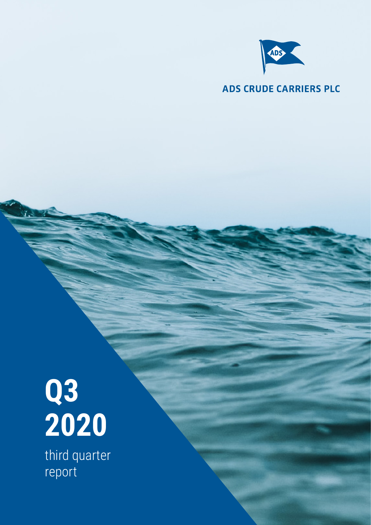

### **ADS CRUDE CARRIERS PLC**

# **Q3 2020**

third quarter report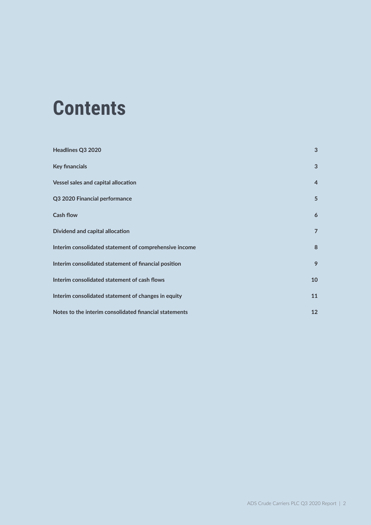### **Contents**

| Headlines Q3 2020                                      | 3              |
|--------------------------------------------------------|----------------|
| <b>Key financials</b>                                  | 3              |
| Vessel sales and capital allocation                    | $\overline{4}$ |
| Q3 2020 Financial performance                          | 5              |
| <b>Cash flow</b>                                       | 6              |
| Dividend and capital allocation                        | $\overline{7}$ |
| Interim consolidated statement of comprehensive income | 8              |
| Interim consolidated statement of financial position   | 9              |
| Interim consolidated statement of cash flows           | 10             |
| Interim consolidated statement of changes in equity    | 11             |
| Notes to the interim consolidated financial statements | 12             |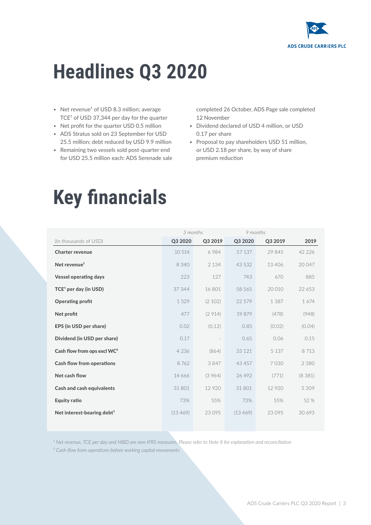

### **Headlines Q3 2020**

- Net revenue<sup>1</sup> of USD 8.3 million; average  $TCE<sup>1</sup>$  of USD 37,344 per day for the quarter
- Net profit for the quarter USD 0.5 million
- ADS Stratus sold on 23 September for USD 25.5 million; debt reduced by USD 9.9 million
- Remaining two vessels sold post-quarter end for USD 25.5 million each: ADS Serenade sale

completed 26 October, ADS Page sale completed 12 November

- Dividend declared of USD 4 million, or USD 0.17 per share
- Proposal to pay shareholders USD 51 million, or USD 2.18 per share, by way of share premium reduction

### **Key financials**

|                                         | 3 months |         | 9 months |         |          |
|-----------------------------------------|----------|---------|----------|---------|----------|
| (In thousands of USD)                   | Q3 2020  | Q3 2019 | Q3 2020  | Q3 2019 | 2019     |
| <b>Charter revenue</b>                  | 10 514   | 6984    | 57 137   | 29 845  | 42 2 2 6 |
| Net revenue <sup>1</sup>                | 8 3 4 0  | 2 1 3 4 | 43 532   | 13406   | 20 047   |
| <b>Vessel operating days</b>            | 223      | 127     | 743      | 670     | 885      |
| TCE <sup>1</sup> per day (in USD)       | 37 344   | 16 801  | 58 565   | 20 010  | 22 653   |
| <b>Operating profit</b>                 | 1529     | (2 102) | 22 579   | 1 3 8 7 | 1674     |
| Net profit                              | 477      | (2914)  | 19879    | (478)   | (948)    |
| EPS (in USD per share)                  | 0.02     | (0.12)  | 0.85     | (0.02)  | (0.04)   |
| Dividend (in USD per share)             | 0.17     |         | 0.65     | 0.06    | 0.15     |
| Cash flow from ops excl WC <sup>2</sup> | 4 2 3 6  | (864)   | 33 1 21  | 5 1 3 7 | 8713     |
| <b>Cash flow from operations</b>        | 8762     | 3847    | 43 457   | 7030    | 2 3 8 0  |
| Net cash flow                           | 14 666   | (3964)  | 26 4 9 2 | (771)   | (8381)   |
| <b>Cash and cash equivalents</b>        | 31 801   | 12 9 20 | 31 801   | 12 9 20 | 5 3 0 9  |
| <b>Equity ratio</b>                     | 73%      | 55%     | 73%      | 55%     | 52 %     |
| Net interest-bearing debt <sup>1</sup>  | (13 469) | 23 0 95 | (13 469) | 23 0 95 | 30 693   |
|                                         |          |         |          |         |          |

<sup>1</sup> Net revenue, TCE per day and NIBD are non-IFRS measures. Please refer to Note 8 for explanation and reconciliation

*² Cash flow from operations before working capital movements*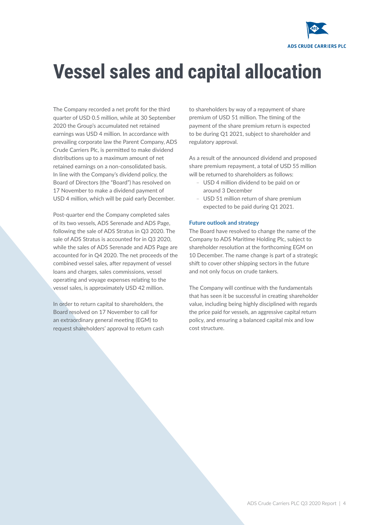

### **Vessel sales and capital allocation**

The Company recorded a net profit for the third quarter of USD 0.5 million, while at 30 September 2020 the Group's accumulated net retained earnings was USD 4 million. In accordance with prevailing corporate law the Parent Company, ADS Crude Carriers Plc, is permitted to make dividend distributions up to a maximum amount of net retained earnings on a non-consolidated basis. In line with the Company's dividend policy, the Board of Directors (the "Board") has resolved on 17 November to make a dividend payment of USD 4 million, which will be paid early December.

Post-quarter end the Company completed sales of its two vessels, ADS Serenade and ADS Page, following the sale of ADS Stratus in Q3 2020. The sale of ADS Stratus is accounted for in Q3 2020, while the sales of ADS Serenade and ADS Page are accounted for in Q4 2020. The net proceeds of the combined vessel sales, after repayment of vessel loans and charges, sales commissions, vessel operating and voyage expenses relating to the vessel sales, is approximately USD 42 million.

In order to return capital to shareholders, the Board resolved on 17 November to call for an extraordinary general meeting (EGM) to request shareholders' approval to return cash to shareholders by way of a repayment of share premium of USD 51 million. The timing of the payment of the share premium return is expected to be during Q1 2021, subject to shareholder and regulatory approval.

As a result of the announced dividend and proposed share premium repayment, a total of USD 55 million will be returned to shareholders as follows:

- USD 4 million dividend to be paid on or around 3 December
- USD 51 million return of share premium expected to be paid during Q1 2021.

#### Future outlook and strategy

The Board have resolved to change the name of the Company to ADS Maritime Holding Plc, subject to shareholder resolution at the forthcoming EGM on 10 December. The name change is part of a strategic shift to cover other shipping sectors in the future and not only focus on crude tankers.

The Company will continue with the fundamentals that has seen it be successful in creating shareholder value, including being highly disciplined with regards the price paid for vessels, an aggressive capital return policy, and ensuring a balanced capital mix and low cost structure.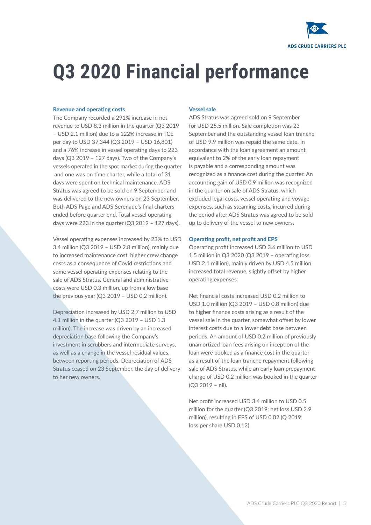

### **Q3 2020 Financial performance**

#### Revenue and operating costs

The Company recorded a 291% increase in net revenue to USD 8.3 million in the quarter (Q3 2019 – USD 2.1 million) due to a 122% increase in TCE per day to USD 37,344 (Q3 2019 – USD 16,801) and a 76% increase in vessel operating days to 223 days (Q3 2019 – 127 days). Two of the Company's vessels operated in the spot market during the quarter and one was on time charter, while a total of 31 days were spent on technical maintenance. ADS Stratus was agreed to be sold on 9 September and was delivered to the new owners on 23 September. Both ADS Page and ADS Serenade's final charters ended before quarter end. Total vessel operating days were 223 in the quarter (Q3 2019 – 127 days).

Vessel operating expenses increased by 23% to USD 3.4 million (Q3 2019 – USD 2.8 million), mainly due to increased maintenance cost, higher crew change costs as a consequence of Covid restrictions and some vessel operating expenses relating to the sale of ADS Stratus. General and administrative costs were USD 0.3 million, up from a low base the previous year (Q3 2019 – USD 0.2 million).

Depreciation increased by USD 2.7 million to USD 4.1 million in the quarter (Q3 2019 – USD 1.3 million). The increase was driven by an increased depreciation base following the Company's investment in scrubbers and intermediate surveys, as well as a change in the vessel residual values, between reporting periods. Depreciation of ADS Stratus ceased on 23 September, the day of delivery to her new owners.

#### Vessel sale

ADS Stratus was agreed sold on 9 September for USD 25.5 million. Sale completion was 23 September and the outstanding vessel loan tranche of USD 9.9 million was repaid the same date. In accordance with the loan agreement an amount equivalent to 2% of the early loan repayment is payable and a corresponding amount was recognized as a finance cost during the quarter. An accounting gain of USD 0.9 million was recognized in the quarter on sale of ADS Stratus, which excluded legal costs, vessel operating and voyage expenses, such as steaming costs, incurred during the period after ADS Stratus was agreed to be sold up to delivery of the vessel to new owners.

#### Operating profit, net profit and EPS

Operating profit increased USD 3.6 million to USD 1.5 million in Q3 2020 (Q3 2019 – operating loss USD 2.1 million), mainly driven by USD 4.5 million increased total revenue, slightly offset by higher operating expenses.

Net financial costs increased USD 0.2 million to USD 1.0 million (Q3 2019 – USD 0.8 million) due to higher finance costs arising as a result of the vessel sale in the quarter, somewhat offset by lower interest costs due to a lower debt base between periods. An amount of USD 0.2 million of previously unamortized loan fees arising on inception of the loan were booked as a finance cost in the quarter as a result of the loan tranche repayment following sale of ADS Stratus, while an early loan prepayment charge of USD 0.2 million was booked in the quarter (Q3 2019 – nil).

Net profit increased USD 3.4 million to USD 0.5 million for the quarter (Q3 2019: net loss USD 2.9 million), resulting in EPS of USD 0.02 (Q 2019: loss per share USD 0.12).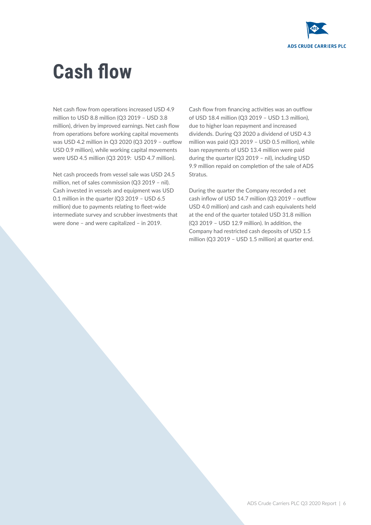

### **Cash flow**

Net cash flow from operations increased USD 4.9 million to USD 8.8 million (Q3 2019 – USD 3.8 million), driven by improved earnings. Net cash flow from operations before working capital movements was USD 4.2 million in Q3 2020 (Q3 2019 – outflow USD 0.9 million), while working capital movements were USD 4.5 million (Q3 2019: USD 4.7 million).

Net cash proceeds from vessel sale was USD 24.5 million, net of sales commission (Q3 2019 – nil). Cash invested in vessels and equipment was USD 0.1 million in the quarter (Q3 2019 – USD 6.5 million) due to payments relating to fleet-wide intermediate survey and scrubber investments that were done – and were capitalized – in 2019.

Cash flow from financing activities was an outflow of USD 18.4 million (Q3 2019 – USD 1.3 million), due to higher loan repayment and increased dividends. During Q3 2020 a dividend of USD 4.3 million was paid (Q3 2019 – USD 0.5 million), while loan repayments of USD 13.4 million were paid during the quarter (Q3 2019 – nil), including USD 9.9 million repaid on completion of the sale of ADS Stratus.

During the quarter the Company recorded a net cash inflow of USD 14.7 million (Q3 2019 – outflow USD 4.0 million) and cash and cash equivalents held at the end of the quarter totaled USD 31.8 million (Q3 2019 – USD 12.9 million). In addition, the Company had restricted cash deposits of USD 1.5 million (Q3 2019 – USD 1.5 million) at quarter end.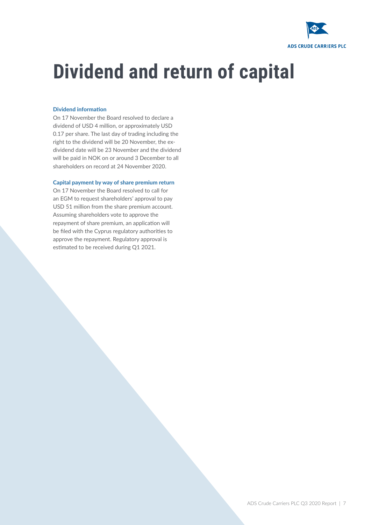

## **Dividend and return of capital**

#### Dividend information

On 17 November the Board resolved to declare a dividend of USD 4 million, or approximately USD 0.17 per share. The last day of trading including the right to the dividend will be 20 November, the exdividend date will be 23 November and the dividend will be paid in NOK on or around 3 December to all shareholders on record at 24 November 2020.

#### Capital payment by way of share premium return

On 17 November the Board resolved to call for an EGM to request shareholders' approval to pay USD 51 million from the share premium account. Assuming shareholders vote to approve the repayment of share premium, an application will be filed with the Cyprus regulatory authorities to approve the repayment. Regulatory approval is estimated to be received during Q1 2021.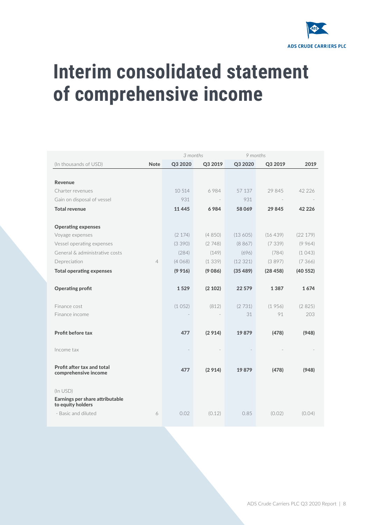

### **Interim consolidated statement of comprehensive income**

|                                                  |                | 3 months |         |         | 9 months |          |
|--------------------------------------------------|----------------|----------|---------|---------|----------|----------|
| (In thousands of USD)                            | <b>Note</b>    | Q3 2020  | Q3 2019 | Q3 2020 | Q3 2019  | 2019     |
|                                                  |                |          |         |         |          |          |
| Revenue                                          |                |          |         |         |          |          |
| Charter revenues                                 |                | 10 514   | 6984    | 57 137  | 29 845   | 42 2 2 6 |
| Gain on disposal of vessel                       |                | 931      |         | 931     |          |          |
| <b>Total revenue</b>                             |                | 11 4 45  | 6984    | 58069   | 29845    | 42 2 2 6 |
|                                                  |                |          |         |         |          |          |
| <b>Operating expenses</b>                        |                |          |         |         |          |          |
| Voyage expenses                                  |                | (2 174)  | (4850)  | (13605) | (16439)  | (22179)  |
| Vessel operating expenses                        |                | (3390)   | (2748)  | (8867)  | (7339)   | (9964)   |
| General & administrative costs                   |                | (284)    | (149)   | (696)   | (784)    | (1043)   |
| Depreciation                                     | $\overline{4}$ | (4068)   | (1339)  | (12321) | (3897)   | (7366)   |
| <b>Total operating expenses</b>                  |                | (9916)   | (9086)  | (35489) | (28458)  | (40552)  |
|                                                  |                |          |         |         |          |          |
| <b>Operating profit</b>                          |                | 1529     | (2 102) | 22 579  | 1387     | 1674     |
|                                                  |                |          |         |         |          |          |
| Finance cost                                     |                | (1052)   | (812)   | (2731)  | (1956)   | (2825)   |
| Finance income                                   |                |          |         | 31      | 91       | 203      |
|                                                  |                |          |         |         |          |          |
| Profit before tax                                |                | 477      | (2914)  | 19879   | (478)    | (948)    |
|                                                  |                |          |         |         |          |          |
| Income tax                                       |                |          |         |         |          |          |
|                                                  |                |          |         |         |          |          |
| Profit after tax and total                       |                | 477      | (2914)  | 19879   | (478)    | (948)    |
| comprehensive income                             |                |          |         |         |          |          |
|                                                  |                |          |         |         |          |          |
| $(ln$ USD $)$<br>Earnings per share attributable |                |          |         |         |          |          |
| to equity holders                                |                |          |         |         |          |          |
| - Basic and diluted                              | 6              | 0.02     | (0.12)  | 0.85    | (0.02)   | (0.04)   |
|                                                  |                |          |         |         |          |          |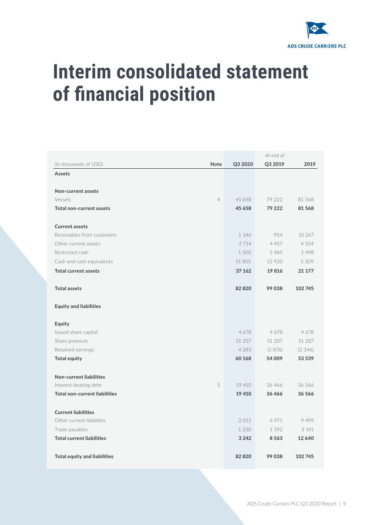

### **Interim consolidated statement of financial position**

|                                      |         | At end of |         |
|--------------------------------------|---------|-----------|---------|
| (In thousands of USD)<br><b>Note</b> | Q3 2020 | Q3 2019   | 2019    |
| <b>Assets</b>                        |         |           |         |
|                                      |         |           |         |
| Non-current assets                   |         |           |         |
| Vessels<br>$\overline{4}$            | 45 658  | 79 222    | 81 568  |
| <b>Total non-current assets</b>      | 45 658  | 79 222    | 81568   |
| <b>Current assets</b>                |         |           |         |
| Receivables from customers           | 1 1 4 6 | 954       | 10 267  |
| Other current assets                 | 2 7 1 4 | 4 4 5 7   | 4 1 0 4 |
| Restricted cash                      | 1 5 0 2 | 1485      | 1498    |
| Cash and cash equivalents            | 31 801  | 12 9 20   | 5 3 0 9 |
| <b>Total current assets</b>          | 37 162  | 19816     | 21 177  |
| <b>Total assets</b>                  | 82820   | 99038     | 102745  |
| <b>Equity and liabilities</b>        |         |           |         |
| <b>Equity</b>                        |         |           |         |
| Issued share capital                 | 4678    | 4678      | 4678    |
| Share premium                        | 51 207  | 51 207    | 51 207  |
| Retained earnings                    | 4 2 8 3 | (1876)    | (2346)  |
| <b>Total equity</b>                  | 60 168  | 54 009    | 53 539  |
| <b>Non-current liabilities</b>       |         |           |         |
| Interest-bearing debt<br>5           | 19 410  | 36466     | 36 566  |
| <b>Total non-current liabilities</b> | 19410   | 36466     | 36566   |
| <b>Current liabilities</b>           |         |           |         |
| Other current liabilities            | 2011    | 6 9 7 1   | 9499    |
| Trade payables                       | 1 2 3 0 | 1592      | 3 1 4 1 |
| <b>Total current liabilities</b>     | 3 2 4 2 | 8563      | 12640   |
| <b>Total equity and liabilities</b>  | 82820   | 99038     | 102 745 |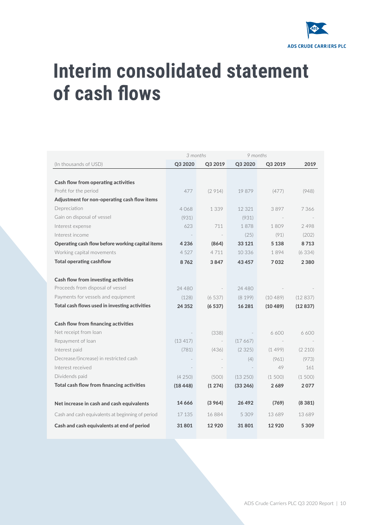

### **Interim consolidated statement of cash flows**

|                                                  | 3 months  |                                 | 9 months |          |         |
|--------------------------------------------------|-----------|---------------------------------|----------|----------|---------|
| (In thousands of USD)                            | Q3 2020   | Q3 2019                         | Q3 2020  | Q3 2019  | 2019    |
|                                                  |           |                                 |          |          |         |
| <b>Cash flow from operating activities</b>       |           |                                 |          |          |         |
| Profit for the period                            | 477       | (2914)                          | 19879    | (477)    | (948)   |
| Adjustment for non-operating cash flow items     |           |                                 |          |          |         |
| Depreciation                                     | 4068      | 1 339                           | 12 321   | 3897     | 7 366   |
| Gain on disposal of vessel                       | (931)     |                                 | (931)    |          |         |
| Interest expense                                 | 623       | 711                             | 1878     | 1809     | 2498    |
| Interest income                                  |           | $\hspace{0.1mm}-\hspace{0.1mm}$ | (25)     | (91)     | (202)   |
| Operating cash flow before working capital items | 4 2 3 6   | (864)                           | 33 1 21  | 5 1 3 8  | 8713    |
| Working capital movements                        | 4 5 2 7   | 4 7 1 1                         | 10 3 36  | 1894     | (6334)  |
| <b>Total operating cashflow</b>                  | 8762      | 3847                            | 43 457   | 7032     | 2 3 8 0 |
|                                                  |           |                                 |          |          |         |
| Cash flow from investing activities              |           |                                 |          |          |         |
| Proceeds from disposal of vessel                 | 24 480    |                                 | 24 4 8 0 |          |         |
| Payments for vessels and equipment               | (128)     | (6537)                          | (8199)   | (10489)  | (12837) |
| Total cash flows used in investing activities    | 24 3 5 2  | (6537)                          | 16 28 1  | (10 489) | (12837) |
|                                                  |           |                                 |          |          |         |
| Cash flow from financing activities              |           |                                 |          |          |         |
| Net receipt from loan                            |           | (338)                           |          | 6600     | 6600    |
| Repayment of loan                                | (13417)   |                                 | (17667)  |          |         |
| Interest paid                                    | (781)     | (436)                           | (2325)   | (1499)   | (2 210) |
| Decrease/(increase) in restricted cash           |           |                                 | (4)      | (961)    | (973)   |
| Interest received                                |           | $\sim$                          |          | 49       | 161     |
| Dividends paid                                   | (4250)    | (500)                           | (13 250) | (1500)   | (1500)  |
| Total cash flow from financing activities        | (18, 448) | (1274)                          | (33 246) | 2 689    | 2077    |
|                                                  |           |                                 |          |          |         |
| Net increase in cash and cash equivalents        | 14 666    | (3964)                          | 26 492   | (769)    | (8381)  |
| Cash and cash equivalents at beginning of period | 17 135    | 16884                           | 5 3 0 9  | 13 689   | 13 689  |
| Cash and cash equivalents at end of period       | 31 801    | 12920                           | 31801    | 12920    | 5 3 0 9 |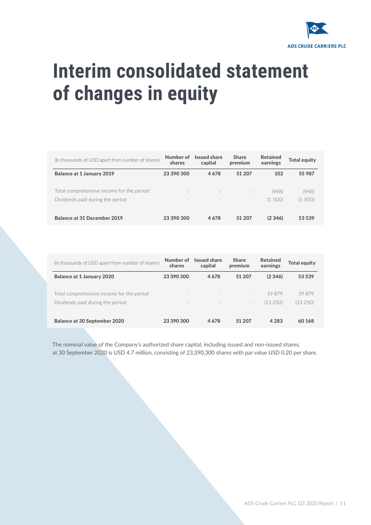

### **Interim consolidated statement of changes in equity**

| (In thousands of USD apart from number of shares) | Number of<br>shares      | <b>Issued share</b><br>capital | <b>Share</b><br>premium  | <b>Retained</b><br>earnings | <b>Total equity</b> |
|---------------------------------------------------|--------------------------|--------------------------------|--------------------------|-----------------------------|---------------------|
| <b>Balance at 1 January 2019</b>                  | 23 390 300               | 4678                           | 51 207                   | 102                         | 55 987              |
| Total comprehensive income for the period         | $\sim$                   | $\sim$                         | $\overline{\phantom{a}}$ | (948)                       | (948)               |
| Dividends paid during the period                  | $\overline{\phantom{a}}$ | $\overline{\phantom{a}}$       | $\overline{\phantom{m}}$ | (1, 500)                    | (1500)              |
| <b>Balance at 31 December 2019</b>                | 23 390 300               | 4678                           | 51 207                   | (2346)                      | 53 539              |

| (In thousands of USD apart from number of shares) | Number of<br>shares      | <b>Issued share</b><br>capital | <b>Share</b><br>premium  | <b>Retained</b><br>earnings | Total equity |
|---------------------------------------------------|--------------------------|--------------------------------|--------------------------|-----------------------------|--------------|
| <b>Balance at 1 January 2020</b>                  | 23 390 300               | 4678                           | 51 207                   | (2, 346)                    | 53 539       |
| Total comprehensive income for the period         | $\overline{\phantom{a}}$ |                                | $\overline{\phantom{a}}$ | 19879                       | 19879        |
| Dividends paid during the period                  | $\overline{\phantom{a}}$ |                                | $\overline{\phantom{a}}$ | (13250)                     | (13250)      |
| <b>Balance at 30 September 2020</b>               | 23 390 300               | 4678                           | 51 207                   | 4 2 8 3                     | 60 168       |

The nominal value of the Company's authorized share capital, including issued and non-issued shares, at 30 September 2020 is USD 4.7 million, consisting of 23,390,300 shares with par value USD 0.20 per share.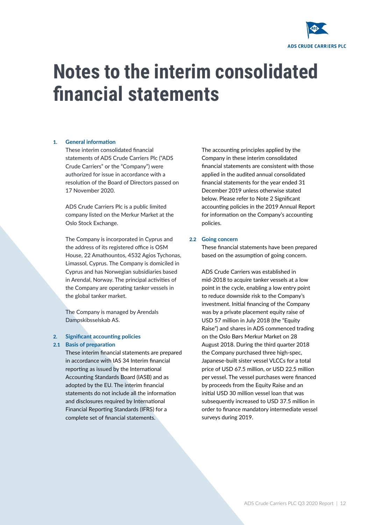

### **Notes to the interim consolidated financial statements**

#### 1. **General information**

These interim consolidated financial statements of ADS Crude Carriers Plc ("ADS Crude Carriers" or the "Company") were authorized for issue in accordance with a resolution of the Board of Directors passed on 17 November 2020.

ADS Crude Carriers Plc is a public limited company listed on the Merkur Market at the Oslo Stock Exchange.

The Company is incorporated in Cyprus and the address of its registered office is OSM House, 22 Amathountos, 4532 Agios Tychonas, Limassol, Cyprus. The Company is domiciled in Cyprus and has Norwegian subsidiaries based in Arendal, Norway. The principal activities of the Company are operating tanker vessels in the global tanker market.

The Company is managed by Arendals Dampskibsselskab AS.

#### 2. **Significant accounting policies**

#### 2.1 **Basis of preparation**

These interim financial statements are prepared in accordance with IAS 34 Interim financial reporting as issued by the International Accounting Standards Board (IASB) and as adopted by the EU. The interim financial statements do not include all the information and disclosures required by International Financial Reporting Standards (IFRS) for a complete set of financial statements.

The accounting principles applied by the Company in these interim consolidated financial statements are consistent with those applied in the audited annual consolidated financial statements for the year ended 31 December 2019 unless otherwise stated below. Please refer to Note 2 Significant accounting policies in the 2019 Annual Report for information on the Company's accounting policies.

#### 2.2 **Going concern**

These financial statements have been prepared based on the assumption of going concern.

ADS Crude Carriers was established in mid-2018 to acquire tanker vessels at a low point in the cycle, enabling a low entry point to reduce downside risk to the Company's investment. Initial financing of the Company was by a private placement equity raise of USD 57 million in July 2018 (the "Equity Raise") and shares in ADS commenced trading on the Oslo Børs Merkur Market on 28 August 2018. During the third quarter 2018 the Company purchased three high-spec, Japanese-built sister vessel VLCCs for a total price of USD 67.5 million, or USD 22.5 million per vessel. The vessel purchases were financed by proceeds from the Equity Raise and an initial USD 30 million vessel loan that was subsequently increased to USD 37.5 million in order to finance mandatory intermediate vessel surveys during 2019.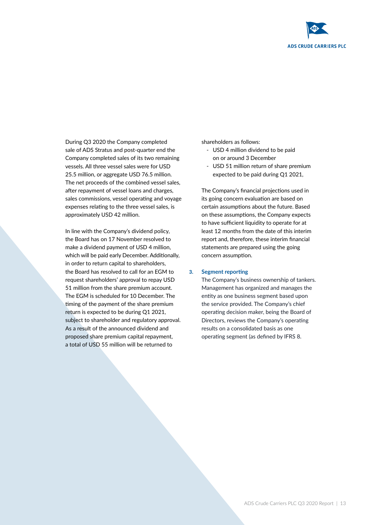

During Q3 2020 the Company completed sale of ADS Stratus and post-quarter end the Company completed sales of its two remaining vessels. All three vessel sales were for USD 25.5 million, or aggregate USD 76.5 million. The net proceeds of the combined vessel sales, after repayment of vessel loans and charges, sales commissions, vessel operating and voyage expenses relating to the three vessel sales, is approximately USD 42 million.

In line with the Company's dividend policy, the Board has on 17 November resolved to make a dividend payment of USD 4 million, which will be paid early December. Additionally, in order to return capital to shareholders, the Board has resolved to call for an EGM to request shareholders' approval to repay USD 51 million from the share premium account. The EGM is scheduled for 10 December. The timing of the payment of the share premium return is expected to be during Q1 2021, subject to shareholder and regulatory approval. As a result of the announced dividend and proposed share premium capital repayment, a total of USD 55 million will be returned to

shareholders as follows:

- USD 4 million dividend to be paid on or around 3 December
- USD 51 million return of share premium expected to be paid during Q1 2021,

The Company's financial projections used in its going concern evaluation are based on certain assumptions about the future. Based on these assumptions, the Company expects to have sufficient liquidity to operate for at least 12 months from the date of this interim report and, therefore, these interim financial statements are prepared using the going concern assumption.

#### 3. **Segment reporting**

The Company's business ownership of tankers. Management has organized and manages the entity as one business segment based upon the service provided. The Company's chief operating decision maker, being the Board of Directors, reviews the Company's operating results on a consolidated basis as one operating segment (as defined by IFRS 8.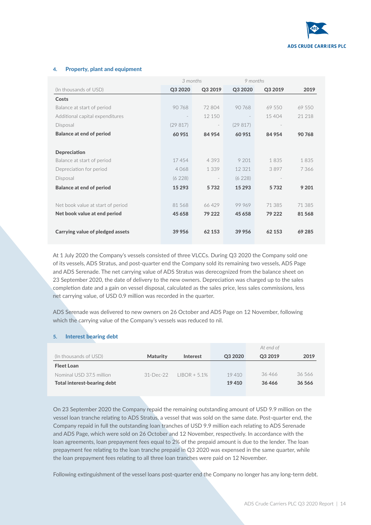

#### 4. Property, plant and equipment

|                                   | 3 months |                          | 9 months |         |         |
|-----------------------------------|----------|--------------------------|----------|---------|---------|
| (In thousands of USD)             | Q3 2020  | Q3 2019                  | Q3 2020  | Q3 2019 | 2019    |
| Costs                             |          |                          |          |         |         |
| Balance at start of period        | 90768    | 72 804                   | 90 768   | 69 550  | 69 550  |
| Additional capital expenditures   |          | 12 150                   |          | 15404   | 21 218  |
| Disposal                          | (29817)  | $\overline{\phantom{a}}$ | (29817)  |         |         |
| <b>Balance at end of period</b>   | 60 951   | 84 954                   | 60 951   | 84 954  | 90 768  |
|                                   |          |                          |          |         |         |
| Depreciation                      |          |                          |          |         |         |
| Balance at start of period        | 17454    | 4 3 9 3                  | 9 201    | 1835    | 1835    |
| Depreciation for period           | 4068     | 1 3 3 9                  | 12 3 2 1 | 3897    | 7366    |
| Disposal                          | (6228)   |                          | (6228)   |         |         |
| <b>Balance at end of period</b>   | 15 2 9 3 | 5732                     | 15 2 9 3 | 5732    | 9 2 0 1 |
|                                   |          |                          |          |         |         |
| Net book value at start of period | 81 568   | 66429                    | 99 969   | 71 385  | 71 385  |
| Net book value at end period      | 45 658   | 79 222                   | 45 658   | 79 222  | 81 568  |
|                                   |          |                          |          |         |         |
| Carrying value of pledged assets  | 39 956   | 62 153                   | 39 956   | 62 153  | 69 285  |

At 1 July 2020 the Company's vessels consisted of three VLCCs. During Q3 2020 the Company sold one of its vessels, ADS Stratus, and post-quarter end the Company sold its remaining two vessels, ADS Page and ADS Serenade. The net carrying value of ADS Stratus was derecognized from the balance sheet on 23 September 2020, the date of delivery to the new owners. Depreciation was charged up to the sales completion date and a gain on vessel disposal, calculated as the sales price, less sales commissions, less net carrying value, of USD 0.9 million was recorded in the quarter.

ADS Serenade was delivered to new owners on 26 October and ADS Page on 12 November, following which the carrying value of the Company's vessels was reduced to nil.

#### 5. Interest bearing debt

|                             |                 |                 |         | At end of |          |
|-----------------------------|-----------------|-----------------|---------|-----------|----------|
| (In thousands of USD)       | <b>Maturity</b> | Interest        | Q3 2020 | Q3 2019   | 2019     |
| <b>Fleet Loan</b>           |                 |                 |         |           |          |
| Nominal USD 37.5 million    | $31-Dec-22$     | $IIBOR + 5.1\%$ | 19410   | 36466     | 36.566   |
| Total interest-bearing debt |                 |                 | 19 4 10 | 36466     | 36 5 6 6 |
|                             |                 |                 |         |           |          |

On 23 September 2020 the Company repaid the remaining outstanding amount of USD 9.9 million on the vessel loan tranche relating to ADS Stratus, a vessel that was sold on the same date. Post-quarter end, the Company repaid in full the outstanding loan tranches of USD 9.9 million each relating to ADS Serenade and ADS Page, which were sold on 26 October and 12 November, respectively. In accordance with the loan agreements, loan prepayment fees equal to 2% of the prepaid amount is due to the lender. The loan prepayment fee relating to the loan tranche prepaid in Q3 2020 was expensed in the same quarter, while the loan prepayment fees relating to all three loan tranches were paid on 12 November.

Following extinguishment of the vessel loans post-quarter end the Company no longer has any long-term debt.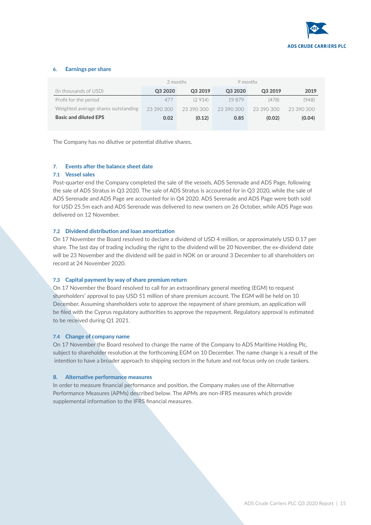

#### 6. Earnings per share

|                                     | 3 months   |            | 9 months   |            |            |
|-------------------------------------|------------|------------|------------|------------|------------|
| (In thousands of USD)               | Q3 2020    | Q3 2019    | Q3 2020    | Q3 2019    | 2019       |
| Profit for the period               | 477        | (2914)     | 19879      | (478)      | (948)      |
| Weighted average shares outstanding | 23 390 300 | 23 390 300 | 23 390 300 | 23.390.300 | 23 390 300 |
| <b>Basic and diluted EPS</b>        | 0.02       | (0.12)     | 0.85       | (0.02)     | (0.04)     |

The Company has no dilutive or potential dilutive shares.

#### 7. Events after the balance sheet date

#### 7.1 Vessel sales

Post-quarter end the Company completed the sale of the vessels, ADS Serenade and ADS Page, following the sale of ADS Stratus in Q3 2020. The sale of ADS Stratus is accounted for in Q3 2020, while the sale of ADS Serenade and ADS Page are accounted for in Q4 2020. ADS Serenade and ADS Page were both sold for USD 25.5m each and ADS Serenade was delivered to new owners on 26 October, while ADS Page was delivered on 12 November.

#### 7.2 Dividend distribution and loan amortization

On 17 November the Board resolved to declare a dividend of USD 4 million, or approximately USD 0.17 per share. The last day of trading including the right to the dividend will be 20 November, the ex-dividend date will be 23 November and the dividend will be paid in NOK on or around 3 December to all shareholders on record at 24 November 2020.

#### 7.3 Capital payment by way of share premium return

On 17 November the Board resolved to call for an extraordinary general meeting (EGM) to request shareholders' approval to pay USD 51 million of share premium account. The EGM will be held on 10 December. Assuming shareholders vote to approve the repayment of share premium, an application will be filed with the Cyprus regulatory authorities to approve the repayment. Regulatory approval is estimated to be received during Q1 2021.

#### 7.4 Change of company name

On 17 November the Board resolved to change the name of the Company to ADS Maritime Holding Plc, subject to shareholder resolution at the forthcoming EGM on 10 December. The name change is a result of the intention to have a broader approach to shipping sectors in the future and not focus only on crude tankers.

#### 8. Alternative performance measures

In order to measure financial performance and position, the Company makes use of the Alternative Performance Measures (APMs) described below. The APMs are non-IFRS measures which provide supplemental information to the IFRS financial measures.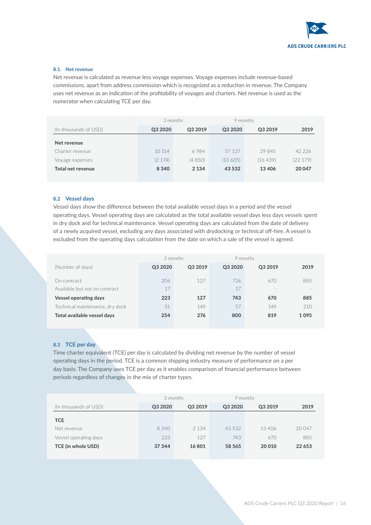

#### 8.1. Net revenue

Net revenue is calculated as revenue less voyage expenses. Voyage expenses include revenue-based commissions, apart from address commission which is recognized as a reduction in revenue. The Company uses net revenue as an indication of the profitability of voyages and charters. Net revenue is used as the numerator when calculating TCE per day.

|                          | 3 months |         | 9 months |         |         |
|--------------------------|----------|---------|----------|---------|---------|
| (In thousands of USD)    | Q3 2020  | Q3 2019 | Q3 2020  | Q3 2019 | 2019    |
| Net revenue              |          |         |          |         |         |
| Charter revenue          | 10.514   | 6984    | 57 137   | 29845   | 42 226  |
| Voyage expenses          | (2174)   | (4850)  | (13605)  | (16439) | (22179) |
| <b>Total net revenue</b> | 8 3 4 0  | 2 1 3 4 | 43 5 32  | 13406   | 20 047  |

#### 8.2 Vessel days

Vessel days show the difference between the total available vessel days in a period and the vessel operating days. Vessel operating days are calculated as the total available vessel days less days vessels spent in dry dock and for technical maintenance. Vessel operating days are calculated from the date of delivery of a newly acquired vessel, excluding any days associated with drydocking or technical off-hire. A vessel is excluded from the operating days calculation from the date on which a sale of the vessel is agreed.

| 3 months |                          | 9 months |                          |      |
|----------|--------------------------|----------|--------------------------|------|
| Q3 2020  | Q3 2019                  | Q3 2020  | Q3 2019                  | 2019 |
| 206      | 127                      | 726      | 670                      | 885  |
| 17       | $\overline{\phantom{a}}$ | 17       | $\overline{\phantom{a}}$ |      |
| 223      | 127                      | 743      | 670                      | 885  |
| 31       | 149                      | 57       | 149                      | 210  |
| 254      | 276                      | 800      | 819                      | 1095 |
|          |                          |          |                          |      |

#### 8.3 TCE per day

Time charter equivalent (TCE) per day is calculated by dividing net revenue by the number of vessel operating days in the period. TCE is a common shipping industry measure of performance on a per day basis. The Company uses TCE per day as it enables comparison of financial performance between periods regardless of changes in the mix of charter types.

|                       | 3 months |         | 9 months |         |        |
|-----------------------|----------|---------|----------|---------|--------|
| (In thousands of USD) | Q3 2020  | Q3 2019 | Q3 2020  | Q3 2019 | 2019   |
| <b>TCE</b>            |          |         |          |         |        |
| Net revenue           | 8 340    | 2 1 3 4 | 43.532   | 13406   | 20047  |
| Vessel operating days | 223      | 127     | 743      | 670     | 885    |
| TCE (in whole USD)    | 37 344   | 16801   | 58 565   | 20 010  | 22 653 |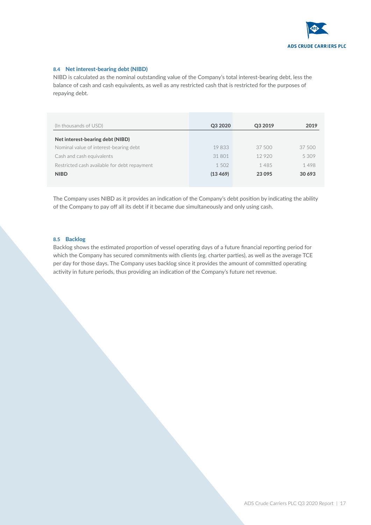

#### 8.4 Net interest-bearing debt (NIBD)

NIBD is calculated as the nominal outstanding value of the Company's total interest-bearing debt, less the balance of cash and cash equivalents, as well as any restricted cash that is restricted for the purposes of repaying debt.

| (In thousands of USD)                        | Q3 2020  | Q3 2019 | 2019   |
|----------------------------------------------|----------|---------|--------|
| Net interest-bearing debt (NIBD)             |          |         |        |
| Nominal value of interest-bearing debt       | 19833    | 37.500  | 37 500 |
| Cash and cash equivalents                    | 31 801   | 12920   | 5309   |
| Restricted cash available for debt repayment | 1.502    | 1485    | 1498   |
| <b>NIBD</b>                                  | (13 469) | 23 0 95 | 30 693 |

The Company uses NIBD as it provides an indication of the Company's debt position by indicating the ability of the Company to pay off all its debt if it became due simultaneously and only using cash.

#### 8.5 Backlog

Backlog shows the estimated proportion of vessel operating days of a future financial reporting period for which the Company has secured commitments with clients (eg. charter parties), as well as the average TCE per day for those days. The Company uses backlog since it provides the amount of committed operating activity in future periods, thus providing an indication of the Company's future net revenue.